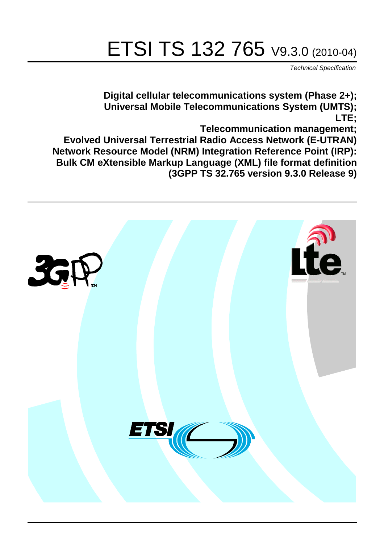# ETSI TS 132 765 V9.3.0 (2010-04)

*Technical Specification*

**Digital cellular telecommunications system (Phase 2+); Universal Mobile Telecommunications System (UMTS); LTE;**

**Telecommunication management;**

**Evolved Universal Terrestrial Radio Access Network (E-UTRAN) Network Resource Model (NRM) Integration Reference Point (IRP): Bulk CM eXtensible Markup Language (XML) file format definition (3GPP TS 32.765 version 9.3.0 Release 9)**

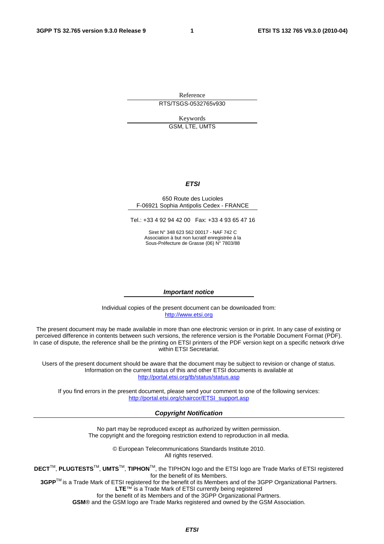Reference RTS/TSGS-0532765v930

Keywords

GSM, LTE, UMTS

#### *ETSI*

#### 650 Route des Lucioles F-06921 Sophia Antipolis Cedex - FRANCE

Tel.: +33 4 92 94 42 00 Fax: +33 4 93 65 47 16

Siret N° 348 623 562 00017 - NAF 742 C Association à but non lucratif enregistrée à la Sous-Préfecture de Grasse (06) N° 7803/88

#### *Important notice*

Individual copies of the present document can be downloaded from: [http://www.etsi.org](http://www.etsi.org/)

The present document may be made available in more than one electronic version or in print. In any case of existing or perceived difference in contents between such versions, the reference version is the Portable Document Format (PDF). In case of dispute, the reference shall be the printing on ETSI printers of the PDF version kept on a specific network drive within ETSI Secretariat.

Users of the present document should be aware that the document may be subject to revision or change of status. Information on the current status of this and other ETSI documents is available at <http://portal.etsi.org/tb/status/status.asp>

If you find errors in the present document, please send your comment to one of the following services: [http://portal.etsi.org/chaircor/ETSI\\_support.asp](http://portal.etsi.org/chaircor/ETSI_support.asp)

#### *Copyright Notification*

No part may be reproduced except as authorized by written permission. The copyright and the foregoing restriction extend to reproduction in all media.

> © European Telecommunications Standards Institute 2010. All rights reserved.

**DECT**TM, **PLUGTESTS**TM, **UMTS**TM, **TIPHON**TM, the TIPHON logo and the ETSI logo are Trade Marks of ETSI registered for the benefit of its Members.

**3GPP**TM is a Trade Mark of ETSI registered for the benefit of its Members and of the 3GPP Organizational Partners. **LTE**™ is a Trade Mark of ETSI currently being registered

for the benefit of its Members and of the 3GPP Organizational Partners.

**GSM**® and the GSM logo are Trade Marks registered and owned by the GSM Association.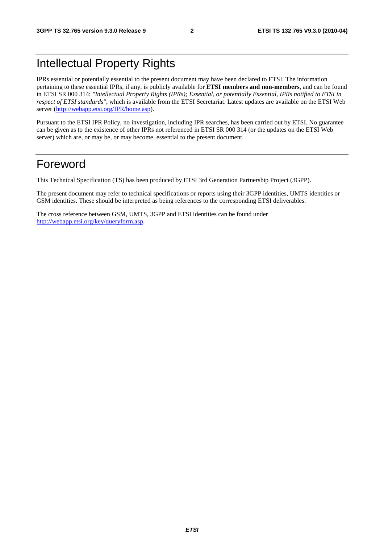### Intellectual Property Rights

IPRs essential or potentially essential to the present document may have been declared to ETSI. The information pertaining to these essential IPRs, if any, is publicly available for **ETSI members and non-members**, and can be found in ETSI SR 000 314: *"Intellectual Property Rights (IPRs); Essential, or potentially Essential, IPRs notified to ETSI in respect of ETSI standards"*, which is available from the ETSI Secretariat. Latest updates are available on the ETSI Web server ([http://webapp.etsi.org/IPR/home.asp\)](http://webapp.etsi.org/IPR/home.asp).

Pursuant to the ETSI IPR Policy, no investigation, including IPR searches, has been carried out by ETSI. No guarantee can be given as to the existence of other IPRs not referenced in ETSI SR 000 314 (or the updates on the ETSI Web server) which are, or may be, or may become, essential to the present document.

### Foreword

This Technical Specification (TS) has been produced by ETSI 3rd Generation Partnership Project (3GPP).

The present document may refer to technical specifications or reports using their 3GPP identities, UMTS identities or GSM identities. These should be interpreted as being references to the corresponding ETSI deliverables.

The cross reference between GSM, UMTS, 3GPP and ETSI identities can be found under [http://webapp.etsi.org/key/queryform.asp.](http://webapp.etsi.org/key/queryform.asp)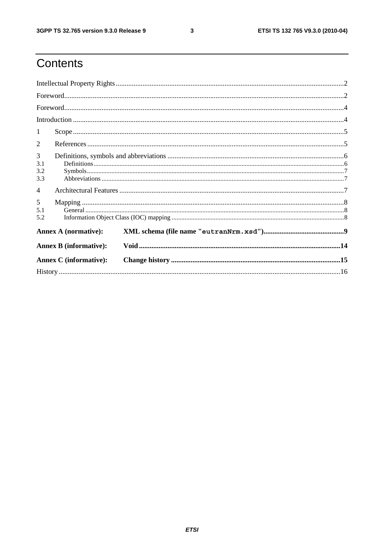$\mathbf{3}$ 

### Contents

| 1                             |                               |  |  |  |
|-------------------------------|-------------------------------|--|--|--|
| 2                             |                               |  |  |  |
| 3<br>3.1<br>3.2<br>3.3        |                               |  |  |  |
| 4                             |                               |  |  |  |
| $5\overline{)}$<br>5.1<br>5.2 |                               |  |  |  |
|                               | <b>Annex A (normative):</b>   |  |  |  |
|                               | <b>Annex B</b> (informative): |  |  |  |
| <b>Annex C</b> (informative): |                               |  |  |  |
|                               |                               |  |  |  |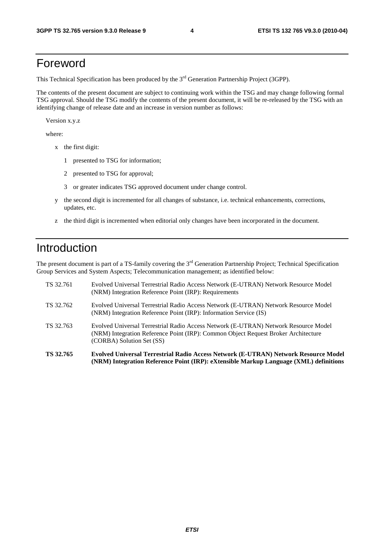### Foreword

This Technical Specification has been produced by the 3<sup>rd</sup> Generation Partnership Project (3GPP).

The contents of the present document are subject to continuing work within the TSG and may change following formal TSG approval. Should the TSG modify the contents of the present document, it will be re-released by the TSG with an identifying change of release date and an increase in version number as follows:

Version x.y.z

where:

- x the first digit:
	- 1 presented to TSG for information;
	- 2 presented to TSG for approval;
	- 3 or greater indicates TSG approved document under change control.
- y the second digit is incremented for all changes of substance, i.e. technical enhancements, corrections, updates, etc.
- z the third digit is incremented when editorial only changes have been incorporated in the document.

### Introduction

The present document is part of a TS-family covering the 3<sup>rd</sup> Generation Partnership Project; Technical Specification Group Services and System Aspects; Telecommunication management; as identified below:

| TS 32.765 | Evolved Universal Terrestrial Radio Access Network (E-UTRAN) Network Resource Model<br>(NRM) Integration Reference Point (IRP): eXtensible Markup Language (XML) definitions                           |
|-----------|--------------------------------------------------------------------------------------------------------------------------------------------------------------------------------------------------------|
| TS 32.763 | Evolved Universal Terrestrial Radio Access Network (E-UTRAN) Network Resource Model<br>(NRM) Integration Reference Point (IRP): Common Object Request Broker Architecture<br>(CORBA) Solution Set (SS) |
| TS 32.762 | Evolved Universal Terrestrial Radio Access Network (E-UTRAN) Network Resource Model<br>(NRM) Integration Reference Point (IRP): Information Service (IS)                                               |
| TS 32.761 | Evolved Universal Terrestrial Radio Access Network (E-UTRAN) Network Resource Model<br>(NRM) Integration Reference Point (IRP): Requirements                                                           |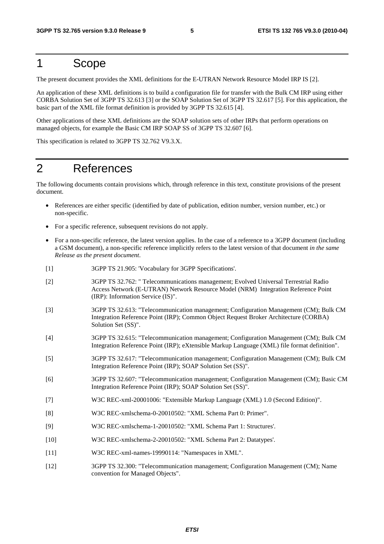### 1 Scope

The present document provides the XML definitions for the E-UTRAN Network Resource Model IRP IS [2].

An application of these XML definitions is to build a configuration file for transfer with the Bulk CM IRP using either CORBA Solution Set of 3GPP TS 32.613 [3] or the SOAP Solution Set of 3GPP TS 32.617 [5]. For this application, the basic part of the XML file format definition is provided by 3GPP TS 32.615 [4].

Other applications of these XML definitions are the SOAP solution sets of other IRPs that perform operations on managed objects, for example the Basic CM IRP SOAP SS of 3GPP TS 32.607 [6].

This specification is related to 3GPP TS 32.762 V9.3.X.

### 2 References

The following documents contain provisions which, through reference in this text, constitute provisions of the present document.

- References are either specific (identified by date of publication, edition number, version number, etc.) or non-specific.
- For a specific reference, subsequent revisions do not apply.
- For a non-specific reference, the latest version applies. In the case of a reference to a 3GPP document (including a GSM document), a non-specific reference implicitly refers to the latest version of that document *in the same Release as the present document*.
- [1] 3GPP TS 21.905: 'Vocabulary for 3GPP Specifications'.
- [2] 3GPP TS 32.762: " Telecommunications management; Evolved Universal Terrestrial Radio Access Network (E-UTRAN) Network Resource Model (NRM) Integration Reference Point (IRP): Information Service (IS)".
- [3] 3GPP TS 32.613: "Telecommunication management; Configuration Management (CM); Bulk CM Integration Reference Point (IRP); Common Object Request Broker Architecture (CORBA) Solution Set (SS)".
- [4] 3GPP TS 32.615: "Telecommunication management; Configuration Management (CM); Bulk CM Integration Reference Point (IRP); eXtensible Markup Language (XML) file format definition".
- [5] 3GPP TS 32.617: "Telecommunication management; Configuration Management (CM); Bulk CM Integration Reference Point (IRP); SOAP Solution Set (SS)".
- [6] 3GPP TS 32.607: "Telecommunication management; Configuration Management (CM); Basic CM Integration Reference Point (IRP); SOAP Solution Set (SS)".
- [7] W3C REC-xml-20001006: "Extensible Markup Language (XML) 1.0 (Second Edition)".
- [8] W3C REC-xmlschema-0-20010502: "XML Schema Part 0: Primer".
- [9] W3C REC-xmlschema-1-20010502: "XML Schema Part 1: Structures'.
- [10] W3C REC-xmlschema-2-20010502: "XML Schema Part 2: Datatypes'.
- [11] W3C REC-xml-names-19990114: "Namespaces in XML".
- [12] 3GPP TS 32.300: "Telecommunication management; Configuration Management (CM); Name convention for Managed Objects".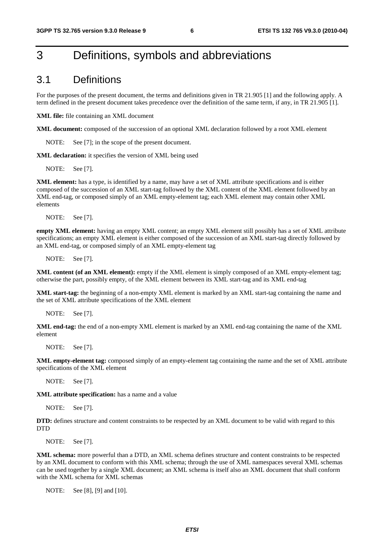### 3 Definitions, symbols and abbreviations

#### 3.1 Definitions

For the purposes of the present document, the terms and definitions given in TR 21.905 [1] and the following apply. A term defined in the present document takes precedence over the definition of the same term, if any, in TR 21.905 [1].

**XML file:** file containing an XML document

**XML document:** composed of the succession of an optional XML declaration followed by a root XML element

NOTE: See [7]; in the scope of the present document.

**XML declaration:** it specifies the version of XML being used

NOTE: See [7].

**XML element:** has a type, is identified by a name, may have a set of XML attribute specifications and is either composed of the succession of an XML start-tag followed by the XML content of the XML element followed by an XML end-tag, or composed simply of an XML empty-element tag; each XML element may contain other XML elements

NOTE: See [7].

**empty XML element:** having an empty XML content; an empty XML element still possibly has a set of XML attribute specifications; an empty XML element is either composed of the succession of an XML start-tag directly followed by an XML end-tag, or composed simply of an XML empty-element tag

NOTE: See [7].

**XML content (of an XML element):** empty if the XML element is simply composed of an XML empty-element tag; otherwise the part, possibly empty, of the XML element between its XML start-tag and its XML end-tag

**XML start-tag:** the beginning of a non-empty XML element is marked by an XML start-tag containing the name and the set of XML attribute specifications of the XML element

NOTE: See [7].

**XML end-tag:** the end of a non-empty XML element is marked by an XML end-tag containing the name of the XML element

NOTE: See [7].

**XML empty-element tag:** composed simply of an empty-element tag containing the name and the set of XML attribute specifications of the XML element

NOTE: See [7].

**XML attribute specification:** has a name and a value

NOTE: See [7].

**DTD:** defines structure and content constraints to be respected by an XML document to be valid with regard to this **DTD** 

NOTE: See [7].

**XML schema:** more powerful than a DTD, an XML schema defines structure and content constraints to be respected by an XML document to conform with this XML schema; through the use of XML namespaces several XML schemas can be used together by a single XML document; an XML schema is itself also an XML document that shall conform with the XML schema for XML schemas

NOTE: See [8], [9] and [10].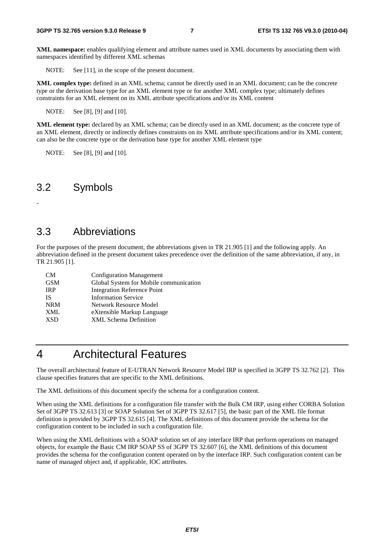**XML namespace:** enables qualifying element and attribute names used in XML documents by associating them with namespaces identified by different XML schemas

NOTE: See [11], in the scope of the present document.

**XML complex type:** defined in an XML schema; cannot be directly used in an XML document; can be the concrete type or the derivation base type for an XML element type or for another XML complex type; ultimately defines constraints for an XML element on its XML attribute specifications and/or its XML content

NOTE: See [8], [9] and [10].

**XML element type:** declared by an XML schema; can be directly used in an XML document; as the concrete type of an XML element, directly or indirectly defines constraints on its XML attribute specifications and/or its XML content; can also be the concrete type or the derivation base type for another XML element type

NOTE: See [8], [9] and [10].

### 3.2 Symbols

-

### 3.3 Abbreviations

For the purposes of the present document, the abbreviations given in TR 21.905 [1] and the following apply. An abbreviation defined in the present document takes precedence over the definition of the same abbreviation, if any, in TR 21.905 [1].

| <b>CM</b>  | <b>Configuration Management</b>        |
|------------|----------------------------------------|
| <b>GSM</b> | Global System for Mobile communication |
| <b>IRP</b> | <b>Integration Reference Point</b>     |
| IS.        | <b>Information Service</b>             |
| <b>NRM</b> | Network Resource Model                 |
| XML        | eXtensible Markup Language             |
| <b>XSD</b> | <b>XML</b> Schema Definition           |

### 4 Architectural Features

The overall architectural feature of E-UTRAN Network Resource Model IRP is specified in 3GPP TS 32.762 [2]. This clause specifies features that are specific to the XML definitions.

The XML definitions of this document specify the schema for a configuration content.

When using the XML definitions for a configuration file transfer with the Bulk CM IRP, using either CORBA Solution Set of 3GPP TS 32.613 [3] or SOAP Solution Set of 3GPP TS 32.617 [5], the basic part of the XML file format definition is provided by 3GPP TS 32.615 [4]. The XML definitions of this document provide the schema for the configuration content to be included in such a configuration file.

When using the XML definitions with a SOAP solution set of any interface IRP that perform operations on managed objects, for example the Basic CM IRP SOAP SS of 3GPP TS 32.607 [6], the XML definitions of this document provides the schema for the configuration content operated on by the interface IRP. Such configuration content can be name of managed object and, if applicable, IOC attributes.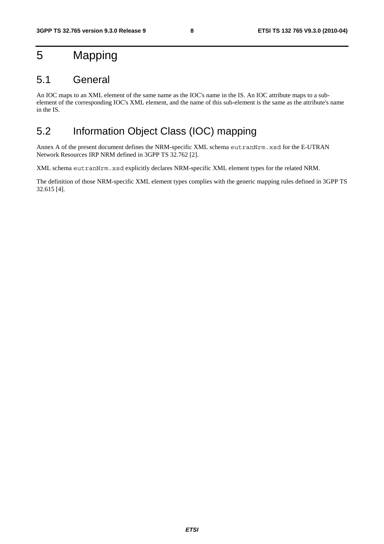### 5 Mapping

### 5.1 General

An IOC maps to an XML element of the same name as the IOC's name in the IS. An IOC attribute maps to a subelement of the corresponding IOC's XML element, and the name of this sub-element is the same as the attribute's name in the IS.

### 5.2 Information Object Class (IOC) mapping

Annex A of the present document defines the NRM-specific XML schema eutranNrm.xsd for the E-UTRAN Network Resources IRP NRM defined in 3GPP TS 32.762 [2].

XML schema eutranNrm.xsd explicitly declares NRM-specific XML element types for the related NRM.

The definition of those NRM-specific XML element types complies with the generic mapping rules defined in 3GPP TS 32.615 [4].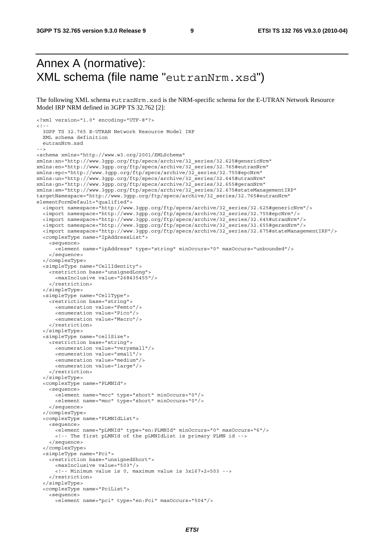### Annex A (normative): XML schema (file name "eutranNrm.xsd")

The following XML schema eutranNrm.xsd is the NRM-specific schema for the E-UTRAN Network Resource Model IRP NRM defined in 3GPP TS 32.762 [2]:

```
<?xml version="1.0" encoding="UTF-8"?> 
< 1 - - 3GPP TS 32.765 E-UTRAN Network Resource Model IRP 
   XML schema definition 
   eutranNrm.xsd 
--> 
<schema xmlns="http://www.w3.org/2001/XMLSchema" 
xmlns:xn="http://www.3gpp.org/ftp/specs/archive/32_series/32.625#genericNrm" 
xmlns:en="http://www.3gpp.org/ftp/specs/archive/32_series/32.765#eutranNrm" 
xmlns:epc="http://www.3gpp.org/ftp/specs/archive/32_series/32.755#epcNrm" 
xmlns:un="http://www.3gpp.org/ftp/specs/archive/32_series/32.645#utranNrm" 
xmlns:gn="http://www.3gpp.org/ftp/specs/archive/32_series/32.655#geranNrm" 
xmlns:sm="http://www.3gpp.org/ftp/specs/archive/32_series/32.675#stateManagementIRP" 
targetNamespace="http://www.3gpp.org/ftp/specs/archive/32_series/32.765#eutranNrm" 
elementFormDefault="qualified"> 
   <import namespace="http://www.3gpp.org/ftp/specs/archive/32_series/32.625#genericNrm"/> 
   <import namespace="http://www.3gpp.org/ftp/specs/archive/32_series/32.755#epcNrm"/> 
   <import namespace="http://www.3gpp.org/ftp/specs/archive/32_series/32.645#utranNrm"/> 
   <import namespace="http://www.3gpp.org/ftp/specs/archive/32_series/32.655#geranNrm"/> 
   <import namespace="http://www.3gpp.org/ftp/specs/archive/32_series/32.675#stateManagementIRP"/> 
   <complexType name="IpAddressList"> 
     <sequence> 
       <element name="ipAddress" type="string" minOccurs="0" maxOccurs="unbounded"/> 
     </sequence> 
   </complexType> 
   <simpleType name="CellIdentity"> 
     <restriction base="unsignedLong"> 
       <maxInclusive value="268435455"/> 
     </restriction> 
   </simpleType> 
   <simpleType name="CellType"> 
     <restriction base="string"> 
       <enumeration value="Femto"/> 
       <enumeration value="Pico"/> 
       <enumeration value="Macro"/> 
     </restriction> 
   </simpleType> 
   <simpleType name="cellSize"> 
     <restriction base="string"> 
       <enumeration value="verysmall"/> 
       <enumeration value="small"/> 
       <enumeration value="medium"/> 
       <enumeration value="large"/> 
     </restriction> 
   </simpleType> 
   <complexType name="PLMNId"> 
     <sequence> 
       <element name="mcc" type="short" minOccurs="0"/> 
       <element name="mnc" type="short" minOccurs="0"/> 
     </sequence> 
   </complexType> 
   <complexType name="PLMNIdList"> 
     <sequence> 
       <element name="pLMNId" type="en:PLMNId" minOccurs="0" maxOccurs="6"/> 
       <!-- The first pLMNId of the pLMNIdList is primary PLMN id --> 
     </sequence> 
   </complexType> 
   <simpleType name="Pci"> 
     <restriction base="unsignedShort"> 
       <maxInclusive value="503"/> 
       <!-- Minimum value is 0, maximum value is 3x167+2=503 --> 
     </restriction> 
   </simpleType> 
   <complexType name="PciList"> 
     <sequence> 
       <element name="pci" type="en:Pci" maxOccurs="504"/>
```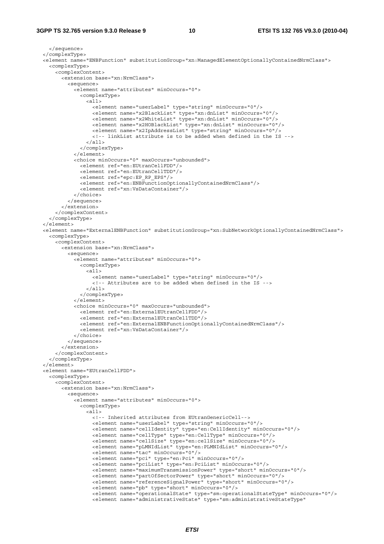#### **3GPP TS 32.765 version 9.3.0 Release 9 10 ETSI TS 132 765 V9.3.0 (2010-04)**

```
 </sequence> 
  </complexType> 
  <element name="ENBFunction" substitutionGroup="xn:ManagedElementOptionallyContainedNrmClass"> 
    <complexType> 
      <complexContent> 
        <extension base="xn:NrmClass"> 
          <sequence> 
             <element name="attributes" minOccurs="0"> 
               <complexType> 
                \langleall\rangle <element name="userLabel" type="string" minOccurs="0"/> 
 <element name="x2BlackList" type="xn:dnList" minOccurs="0"/> 
 <element name="x2WhiteList" type="xn:dnList" minOccurs="0"/> 
                   <element name="x2HOBlackList" type="xn:dnList" minOccurs="0"/> 
                   <element name="x2IpAddressList" type="string" minOccurs="0"/> 
                   <!-- linkList attribute is to be added when defined in the IS --> 
                \langleall\rangle </complexType> 
             </element> 
             <choice minOccurs="0" maxOccurs="unbounded"> 
               <element ref="en:EUtranCellFDD"/> 
               <element ref="en:EUtranCellTDD"/> 
               <element ref="epc:EP_RP_EPS"/> 
               <element ref="en:ENBFunctionOptionallyContainedNrmClass"/> 
               <element ref="xn:VsDataContainer"/> 
             </choice> 
           </sequence> 
         </extension> 
       </complexContent> 
    </complexType> 
  </element> 
   <element name="ExternalENBFunction" substitutionGroup="xn:SubNetworkOptionallyContainedNrmClass"> 
    <complexType> 
      <complexContent> 
         <extension base="xn:NrmClass"> 
          <sequence> 
             <element name="attributes" minOccurs="0"> 
               <complexType> 
                 <all> 
                   <element name="userLabel" type="string" minOccurs="0"/> 
                   <!-- Attributes are to be added when defined in the IS --> 
                 </all> 
               </complexType> 
             </element> 
             <choice minOccurs="0" maxOccurs="unbounded"> 
               <element ref="en:ExternalEUtranCellFDD"/> 
               <element ref="en:ExternalEUtranCellTDD"/> 
               <element ref="en:ExternalENBFunctionOptionallyContainedNrmClass"/> 
               <element ref="xn:VsDataContainer"/> 
             </choice> 
           </sequence> 
         </extension> 
      </complexContent> 
    </complexType> 
   </element> 
  <element name="EUtranCellFDD"> 
    <complexType> 
      <complexContent> 
         <extension base="xn:NrmClass"> 
          <sequence> 
             <element name="attributes" minOccurs="0"> 
               <complexType> 
                 <all> 
                   <!-- Inherited attributes from EUtranGenericCell--> 
                   <element name="userLabel" type="string" minOccurs="0"/> 
                   <element name="cellIdentity" type="en:CellIdentity" minOccurs="0"/> 
                   <element name="cellType" type="en:CellType" minOccurs="0"/> 
                   <element name="cellSize" type="en:cellSize" minOccurs="0"/> 
                   <element name="pLMNIdList" type="en:PLMNIdList" minOccurs="0"/> 
                   <element name="tac" minOccurs="0"/> 
                   <element name="pci" type="en:Pci" minOccurs="0"/> 
 <element name="pciList" type="en:PciList" minOccurs="0"/> 
 <element name="maximumTransmissionPower" type="short" minOccurs="0"/> 
                   <element name="partOfSectorPower" type="short" minOccurs="0"/> 
                   <element name="referenceSignalPower" type="short" minOccurs="0"/> 
                   <element name="pb" type="short" minOccurs="0"/> 
 <element name="operationalState" type="sm:operationalStateType" minOccurs="0"/> 
 <element name="administrativeState" type="sm:administrativeStateType"
```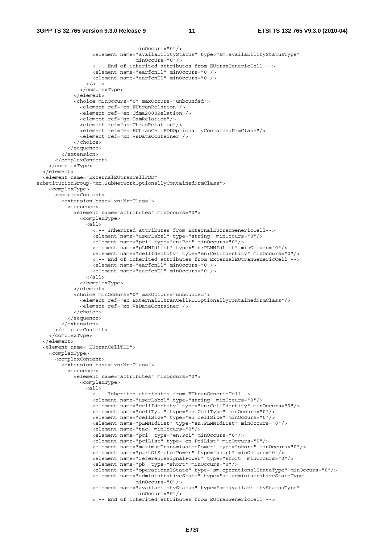```
 minOccurs="0"/> 
                    <element name="availabilityStatus" type="sm:availabilityStatusType" 
                                  minOccurs="0"/> 
                    <!-- End of inherited attributes from EUtranGenericCell --> 
                    <element name="earfcnDl" minOccurs="0"/> 
                    <element name="earfcnUl" minOccurs="0"/> 
                 \langleall\rangle </complexType> 
             </element> 
             <choice minOccurs="0" maxOccurs="unbounded"> 
               <element ref="en:EUtranRelation"/> 
               <element ref="en:Cdma2000Relation"/> 
               <element ref="gn:GsmRelation"/> 
               <element ref="un:UtranRelation"/> 
               <element ref="en:EUtranCellFDDOptionallyContainedNrmClass"/> 
               <element ref="xn:VsDataContainer"/> 
             </choice> 
           </sequence> 
         </extension> 
       </complexContent> 
     </complexType> 
   </element> 
   <element name="ExternalEUtranCellFDD" 
substitutionGroup="xn:SubNetworkOptionallyContainedNrmClass"> 
     <complexType> 
       <complexContent> 
         <extension base="xn:NrmClass"> 
           <sequence> 
             <element name="attributes" minOccurs="0"> 
               <complexType> 
                 <all> 
                   <!-- Inherited attributes from ExternalEUtranGenericCell--> 
                    <element name="userLabel" type="string" minOccurs="0"/> 
                    <element name="pci" type="en:Pci" minOccurs="0"/> 
                    <element name="pLMNIdList" type="en:PLMNIdList" minOccurs="0"/> 
                    <element name="cellIdentity" type="en:CellIdentity" minOccurs="0"/> 
                    <!-- End of inherited attributes from ExternalEUtranGenericCell --> 
                    <element name="earfcnDl" minOccurs="0"/> 
                    <element name="earfcnUl" minOccurs="0"/> 
                  </all> 
                </complexType> 
             </element> 
             <choice minOccurs="0" maxOccurs="unbounded"> 
               <element ref="en:ExternalEUtranCellFDDOptionallyContainedNrmClass"/> 
               <element ref="xn:VsDataContainer"/> 
             </choice> 
           </sequence> 
         </extension> 
       </complexContent> 
     </complexType> 
   </element> 
   <element name="EUtranCellTDD"> 
     <complexType> 
       <complexContent> 
         <extension base="xn:NrmClass"> 
           <sequence> 
             <element name="attributes" minOccurs="0"> 
               <complexType> 
                 <all> 
                    <!-- Inherited attributes from EUtranGenericCell--> 
                    <element name="userLabel" type="string" minOccurs="0"/> 
                    <element name="cellIdentity" type="en:CellIdentity" minOccurs="0"/> 
                    <element name="cellType" type="en:CellType" minOccurs="0"/> 
 <element name="cellSize" type="en:cellSize" minOccurs="0"/> 
 <element name="pLMNIdList" type="en:PLMNIdList" minOccurs="0"/> 
                    <element name="tac" minOccurs="0"/> 
                    <element name="pci" type="en:Pci" minOccurs="0"/> 
                    <element name="pciList" type="en:PciList" minOccurs="0"/> 
                    <element name="maximumTransmissionPower" type="short" minOccurs="0"/> 
                    <element name="partOfSectorPower" type="short" minOccurs="0"/> 
                    <element name="referenceSignalPower" type="short" minOccurs="0"/> 
                    <element name="pb" type="short" minOccurs="0"/> 
                    <element name="operationalState" type="sm:operationalStateType" minOccurs="0"/> 
                    <element name="administrativeState" type="sm:administrativeStateType" 
                                  minOccurs="0"/> 
                    <element name="availabilityStatus" type="sm:availabilityStatusType" 
                                  minOccurs="0"/> 
                    <!-- End of inherited attributes from EUtranGenericCell -->
```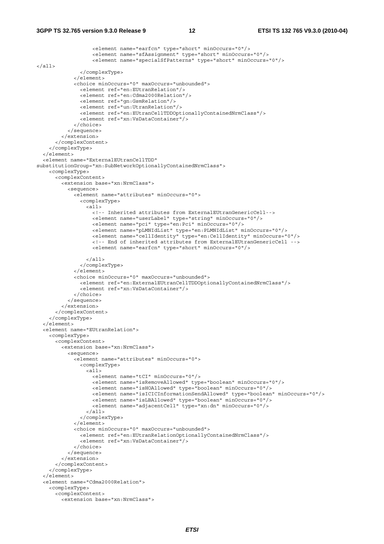```
 <element name="earfcn" type="short" minOccurs="0"/> 
                    <element name="sfAssignment" type="short" minOccurs="0"/> 
                    <element name="specialSfPatterns" type="short" minOccurs="0"/> 
\langleall\rangle </complexType> 
              </element> 
              <choice minOccurs="0" maxOccurs="unbounded"> 
                <element ref="en:EUtranRelation"/> 
                <element ref="en:Cdma2000Relation"/> 
                <element ref="gn:GsmRelation"/> 
                <element ref="un:UtranRelation"/> 
                <element ref="en:EUtranCellTDDOptionallyContainedNrmClass"/> 
                <element ref="xn:VsDataContainer"/> 
              </choice> 
           </sequence> 
         </extension> 
       </complexContent> 
     </complexType> 
   </element> 
   <element name="ExternalEUtranCellTDD" 
substitutionGroup="xn:SubNetworkOptionallyContainedNrmClass"> 
     <complexType> 
       <complexContent> 
         <extension base="xn:NrmClass"> 
           <sequence> 
              <element name="attributes" minOccurs="0"> 
                <complexType> 
                  <all> 
                    <!-- Inherited attributes from ExternalEUtranGenericCell--> 
                    <element name="userLabel" type="string" minOccurs="0"/> 
                    <element name="pci" type="en:Pci" minOccurs="0"/> 
                    <element name="pLMNIdList" type="en:PLMNIdList" minOccurs="0"/> 
                    <element name="cellIdentity" type="en:CellIdentity" minOccurs="0"/> 
                    <!-- End of inherited attributes from ExternalEUtranGenericCell --> 
                    <element name="earfcn" type="short" minOccurs="0"/> 
                  </all> 
                </complexType> 
              </element> 
              <choice minOccurs="0" maxOccurs="unbounded"> 
                <element ref="en:ExternalEUtranCellTDDOptionallyContainedNrmClass"/> 
                <element ref="xn:VsDataContainer"/> 
              </choice> 
           </sequence> 
         </extension> 
       </complexContent> 
     </complexType> 
   </element> 
   <element name="EUtranRelation"> 
     <complexType> 
       <complexContent> 
         <extension base="xn:NrmClass"> 
           <sequence> 
              <element name="attributes" minOccurs="0"> 
                <complexType> 
                 \leq all\geq <element name="tCI" minOccurs="0"/> 
                    <element name="isRemoveAllowed" type="boolean" minOccurs="0"/> 
                    <element name="isHOAllowed" type="boolean" minOccurs="0"/> 
                    <element name="isICICInformationSendAllowed" type="boolean" minOccurs="0"/> 
                    <element name="isLBAllowed" type="boolean" minOccurs="0"/> 
                    <element name="adjacentCell" type="xn:dn" minOccurs="0"/> 
                 \langleall\rangle </complexType> 
             \epsilon/elements
              <choice minOccurs="0" maxOccurs="unbounded"> 
                <element ref="en:EUtranRelationOptionallyContainedNrmClass"/> 
                <element ref="xn:VsDataContainer"/> 
              </choice> 
           </sequence> 
         </extension> 
       </complexContent> 
     </complexType> 
   </element> 
   <element name="Cdma2000Relation"> 
     <complexType> 
       <complexContent> 
         <extension base="xn:NrmClass">
```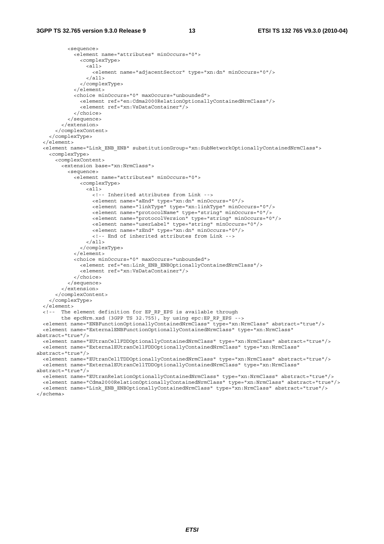```
 <sequence> 
             <element name="attributes" minOccurs="0"> 
               <complexType> 
                 <all> 
                   <element name="adjacentSector" type="xn:dn" minOccurs="0"/> 
                 \langleall\rangle </complexType> 
             </element> 
             <choice minOccurs="0" maxOccurs="unbounded"> 
               <element ref="en:Cdma2000RelationOptionallyContainedNrmClass"/> 
               <element ref="xn:VsDataContainer"/> 
             </choice> 
           </sequence> 
         </extension> 
       </complexContent> 
     </complexType> 
  \epsilon/element>
   <element name="Link_ENB_ENB" substitutionGroup="xn:SubNetworkOptionallyContainedNrmClass"> 
     <complexType> 
       <complexContent> 
         <extension base="xn:NrmClass"> 
           <sequence> 
             <element name="attributes" minOccurs="0"> 
               <complexType> 
                \leq alls
                   <!-- Inherited attributes from Link --> 
                    <element name="aEnd" type="xn:dn" minOccurs="0"/> 
                    <element name="linkType" type="xn:linkType" minOccurs="0"/> 
                    <element name="protocolName" type="string" minOccurs="0"/> 
 <element name="protocolVersion" type="string" minOccurs="0"/> 
 <element name="userLabel" type="string" minOccurs="0"/> 
                    <element name="zEnd" type="xn:dn" minOccurs="0"/> 
                    <!-- End of inherited attributes from Link --> 
                 </all> 
               </complexType> 
              </element> 
             <choice minOccurs="0" maxOccurs="unbounded"> 
               <element ref="en:Link_ENB_ENBOptionallyContainedNrmClass"/> 
               <element ref="xn:VsDataContainer"/> 
             </choice> 
           </sequence> 
         </extension> 
       </complexContent> 
     </complexType> 
   </element> 
   <!-- The element definition for EP_RP_EPS is available through 
        the epcNrm.xsd (3GPP TS 32.755), by using epc:EP_RP_EPS -->
   <element name="ENBFunctionOptionallyContainedNrmClass" type="xn:NrmClass" abstract="true"/> 
   <element name="ExternalENBFunctionOptionallyContainedNrmClass" type="xn:NrmClass" 
abstract="true"/> 
   <element name="EUtranCellFDDOptionallyContainedNrmClass" type="xn:NrmClass" abstract="true"/> 
   <element name="ExternalEUtranCellFDDOptionallyContainedNrmClass" type="xn:NrmClass" 
abstract="true"/> 
   <element name="EUtranCellTDDOptionallyContainedNrmClass" type="xn:NrmClass" abstract="true"/> 
   <element name="ExternalEUtranCellTDDOptionallyContainedNrmClass" type="xn:NrmClass" 
abstract="true"/> 
   <element name="EUtranRelationOptionallyContainedNrmClass" type="xn:NrmClass" abstract="true"/> 
   <element name="Cdma2000RelationOptionallyContainedNrmClass" type="xn:NrmClass" abstract="true"/> 
   <element name="Link_ENB_ENBOptionallyContainedNrmClass" type="xn:NrmClass" abstract="true"/>
```
</schema>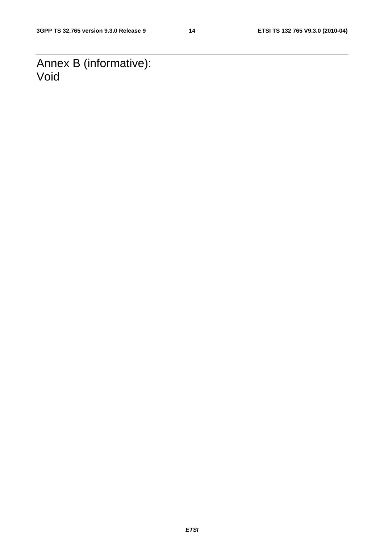Annex B (informative): Void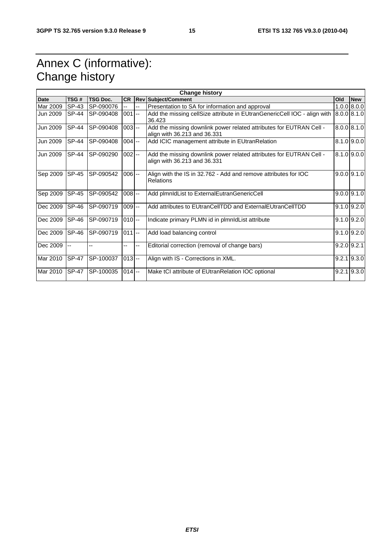### Annex C (informative): Change history

| <b>Change history</b> |                |                 |           |    |                                                                                                     |     |                 |
|-----------------------|----------------|-----------------|-----------|----|-----------------------------------------------------------------------------------------------------|-----|-----------------|
| <b>Date</b>           | TSG#           | <b>TSG Doc.</b> | <b>CR</b> |    | <b>Rev Subject/Comment</b>                                                                          | Old | <b>New</b>      |
| Mar 2009              | SP-43          | SP-090076       | u.        | -- | Presentation to SA for information and approval                                                     |     | 1.0.0   8.0.0   |
| Jun 2009              | SP-44          | SP-090408       | $001 -$   |    | Add the missing cellSize attribute in EUtranGenericCell IOC - align with<br>36.423                  |     | 8.0.0   8.1.0   |
| Jun 2009              | <b>SP-44</b>   | SP-090408       | $003 -$   |    | Add the missing downlink power related attributes for EUTRAN Cell -<br>align with 36.213 and 36.331 |     | 8.0.0   8.1.0   |
| Jun 2009              | <b>SP-44</b>   | SP-090408       | $004$ --  |    | Add ICIC management attribute in EUtranRelation                                                     |     | $8.1.0$ 9.0.0   |
| Jun 2009              | <b>SP-44</b>   | SP-090290       | $002 -$   |    | Add the missing downlink power related attributes for EUTRAN Cell -<br>align with 36.213 and 36.331 |     | $8.1.0$ 9.0.0   |
| Sep 2009              | <b>SP-45</b>   | SP-090542       | $006 -$   |    | Align with the IS in 32.762 - Add and remove attributes for IOC<br><b>Relations</b>                 |     | $9.0.0$ 9.1.0   |
| Sep 2009              | <b>SP-45</b>   | SP-090542       | $008$ --  |    | Add plmnldList to ExternalEutranGenericCell                                                         |     | $9.0.0$ $9.1.0$ |
| Dec 2009              | SP-46          | SP-090719       | $009$ --  |    | Add attributes to EUtranCellTDD and ExternalEUtranCellTDD                                           |     | $9.1.0$ $9.2.0$ |
| Dec 2009              | <b>SP-46</b>   | SP-090719       | $010$ --  |    | Indicate primary PLMN id in plmnIdList attribute                                                    |     | $9.1.0$ $9.2.0$ |
| Dec 2009              | <b>SP-46</b>   | SP-090719       | $011$ --  |    | Add load balancing control                                                                          |     | $9.1.0$ $9.2.0$ |
| Dec 2009              | $\overline{a}$ | --              | --        | -- | Editorial correction (removal of change bars)                                                       |     | $9.2.0$ $9.2.1$ |
| Mar 2010              | <b>SP-47</b>   | SP-100037       | $013 -$   |    | Align with IS - Corrections in XML.                                                                 |     | $9.2.1$ $9.3.0$ |
| Mar 2010              | <b>SP-47</b>   | SP-100035       | $014$ --  |    | Make tCI attribute of EUtranRelation IOC optional                                                   |     | $9.2.1$ $9.3.0$ |